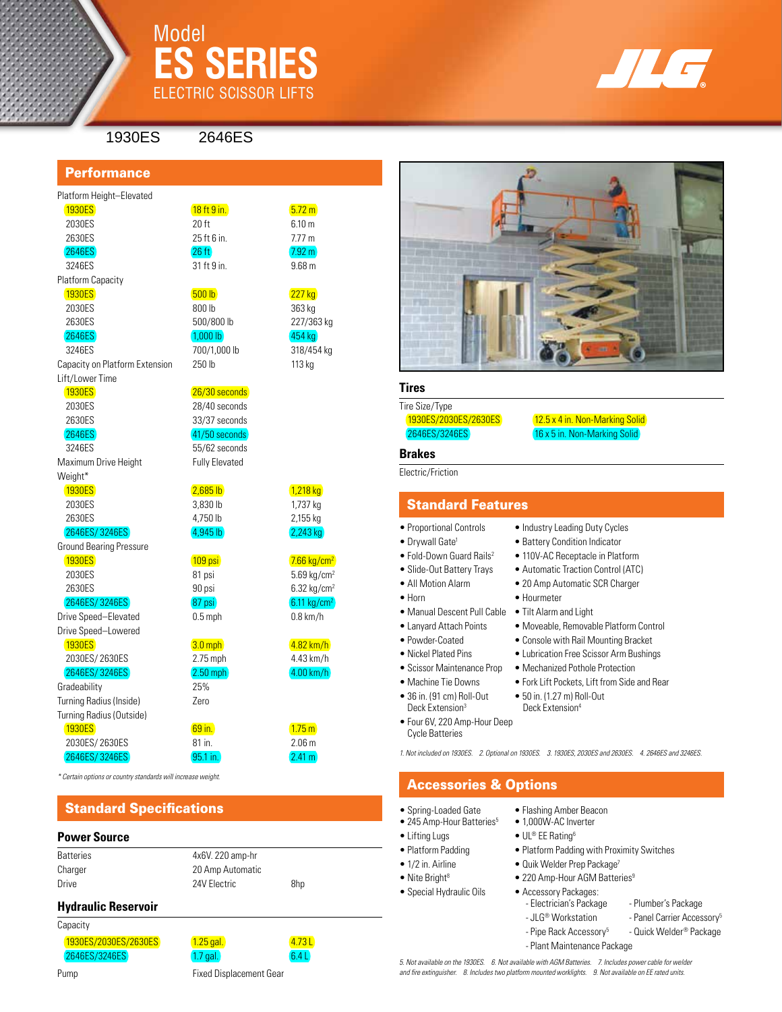

## Model **ES Series** ELECTRIC SCISSOR LIFTS



1930ES 2646ES

### **Performance**

### Platform Height–Elevated 1930ES **1930ES** 18 ft 9 in.

 2030ES 20 ft 6.10 m 2630ES 25 ft 6 in. 25 ft 6 in.

2646ES 26 ft 26 ft 26 ft 26 ft 26 ft 2.92 m

3246ES 700/1,000 lb 318/454 kg

Capacity on Platform Extension 250 lb 113 kg Lift/Lower Time

Maximum Drive Height Fully Elevated

Weight\*

2030ES 3,830 lb 1,737 kg

2630ES 4,750 lb 2,155 kg

2646ES/ 3246ES 2002 2003 2004 4.945 lb

## Ground Bearing Pressure

Drive Speed–Elevated 0.5 mph 0.8 km/h

### Drive Speed–Lowered

 $\sqrt{3.0 \text{ mph}}$   $\sqrt{4.82 \text{ km/h}}$ 

### 2646ES/ 3246ES 2.50 mph 4.00 km/h

Gradeability 25% Turning Radius (Inside) Zero Turning Radius (Outside)

| 3246ES            | 31 ft 9 in.  | 9.68 <sub>m</sub> |
|-------------------|--------------|-------------------|
| Platform Capacity |              |                   |
| <b>1930ES</b>     | 500 lb       | <b>227 kg</b>     |
| 2030ES            | 800 lb       | 363 kg            |
| 2630ES            | 500/800 lb   | 227/363 kg        |
| 2646ES            | $1.000$ lb   | 454 kg            |
| 3246ES            | 700/1.000 lb | 318/454 kg        |

1930ES 26/30 seconds 2030ES 28/40 seconds 2630ES 33/37 seconds

 2646ES 41/50 seconds 3246ES 55/62 seconds

 $(1,218 \text{ kg})$   $(2,685 \text{ lb})$   $(1,218 \text{ kg})$ 

### $\sqrt{109 \text{ psi}}$  109 psi  $\sqrt{7.66 \text{ kg/cm}^2}$ 2030ES 81 psi 5.69 kg/cm<sup>2</sup> 2630ES 90 psi 6.32 kg/cm2

 $2646ES / 3246ES$  87 psi 6.11 kg/cm<sup>2</sup>

# 2030ES/ 2630ES 2.75 mph 4.43 km/h

## 1930ES **69 in.** 1.75 m 2030ES/ 2630ES 81 in. 2.06 m 2646ES/ 3246ES 95.1 in.

*\* Certain options or country standards will increase weight.*

## Standard Specifications

### **Power Source**

| Batteries | 4x6V, 220 amp-hr |     |
|-----------|------------------|-----|
| Charger   | 20 Amp Automatic |     |
| Drive     | 24V Electric     | 8hp |
|           |                  |     |

### **Hydraulic Reservoir**

**Capacity** 

| apacity              |             |      |
|----------------------|-------------|------|
| 1930ES/2030ES/2630ES | $1.25$ gal. | 4.73 |
| 2646ES/3246ES        | $1.7$ gal.  | 6.4L |
|                      |             |      |

Pump **Fixed Displacement Gear** 

### **Tires**

Tire Size/Type

1930ES/2030ES/2630ES 12.5 x 4 in. Non-Marking Solid 2646ES/3246ES 16 x 5 in. Non-Marking Solid

### **Brakes**

Electric/Friction

## Standard Features

### • Proportional Controls • Industry Leading Duty Cycles

- 
- Fold-Down Guard Rails<sup>2</sup> 110V-AC Receptacle in Platform
- 
- 
- Horn Hourmeter
	-
- 
- 
- 
- 
- 
- 
- Four 6V, 220 Amp-Hour Deep
- Cycle Batteries

*1. Not included on 1930ES. 2. Optional on 1930ES. 3. 1930ES, 2030ES and 2630ES. 4. 2646ES and 3246ES.*

## Accessories & Options

- Spring-Loaded Gate Flashing Amber Beacon<br>• 245 Amp-Hour Batteries<sup>5</sup> 1,000W-AC Inverter
- $\bullet$  245 Amp-Hour Batteries<sup>5</sup>
- Lifting Lugs UL® EE Rating<sup>6</sup>
- Platform Padding Platform Padding with Proximity Switches
- 1/2 in. Airline Quik Welder Prep Package<sup>7</sup>
- Nite Bright<sup>8</sup> 220 Amp-Hour AGM Batteries<sup>9</sup>
- Special Hydraulic Oils Accessory Packages:
	- Electrician's Package Plumber's Package
	- JLG<sup>®</sup> Workstation Panel Carrier Accessory<sup>5</sup>
	- Pipe Rack Accessory<sup>5</sup> Quick Welder<sup>®</sup> Package
	- Plant Maintenance Package

*5. Not available on the 1930ES. 6. Not available with AGM Batteries. 7. Includes power cable for welder and fire extinguisher. 8. Includes two platform mounted worklights. 9. Not available on EE rated units.*

- Drywall Gate<sup>1</sup> Battery Condition Indicator
	-
- Slide-Out Battery Trays Automatic Traction Control (ATC)
- All Motion Alarm 20 Amp Automatic SCR Charger
	-
- Manual Descent Pull Cable Tilt Alarm and Light
- Lanyard Attach Points Moveable, Removable Platform Control
- Powder-Coated Console with Rail Mounting Bracket
- Nickel Plated Pins Lubrication Free Scissor Arm Bushings
- Scissor Maintenance Prop Mechanized Pothole Protection
- Machine Tie Downs Fork Lift Pockets, Lift from Side and Rear
- 36 in. (91 cm) Roll-Out 50 in. (1.27 m) Roll-Out **•**  $\frac{1}{2}$  Deck Extension<sup>4</sup> Deck Extension<sup>4</sup>
	-